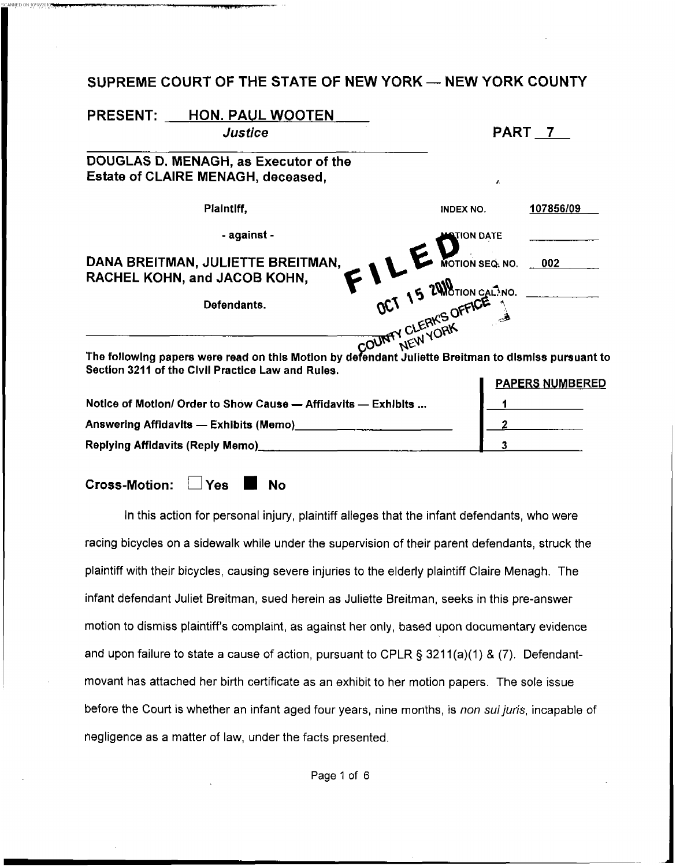## **SUPREME COURT OF THE STATE OF NEW YORK - NEW YORK COUNTY**

| PART 7                                                                                              |
|-----------------------------------------------------------------------------------------------------|
|                                                                                                     |
|                                                                                                     |
| $\mathbf{z}$                                                                                        |
| 107856/09<br><b>INDEX NO.</b>                                                                       |
| TION DATE                                                                                           |
|                                                                                                     |
| OCT 15 2000 CALENO CALENO ODE                                                                       |
| The following papers were read on this Motion by defendant Juliette Breitman to dismiss pursuant to |
| <b>PAPERS NUMBERED</b>                                                                              |
| Notice of Motion/ Order to Show Cause - Affidavits - Exhibits                                       |
|                                                                                                     |
| 3.                                                                                                  |
|                                                                                                     |

Cross-Motion: Yes No

In this action for personal injury, plaintiff alleges that the infant defendants, who were racing bicycles on a sidewalk while under the supervision of their parent defendants, struck the plaintiff with their bicycles, causing severe injuries to the elderly plaintiff Claire Menagh. The infant defendant Juliet Breitman, sued herein **as** Juliette Breitman, seeks in this pre-answer motion to dismiss plaintiff's complaint, as against her only, based upon documentary evidence and upon failure to state a cause of action, pursuant to CPLR § 3211(a)(1) & (7). Defendantmovant has attached her birth certificate as an exhibit to her motion papers. The sole issue before the Court is whether an infant aged four years, nine months, *is non suijuris,* incapable of negligence as a matter of law, under the facts presented.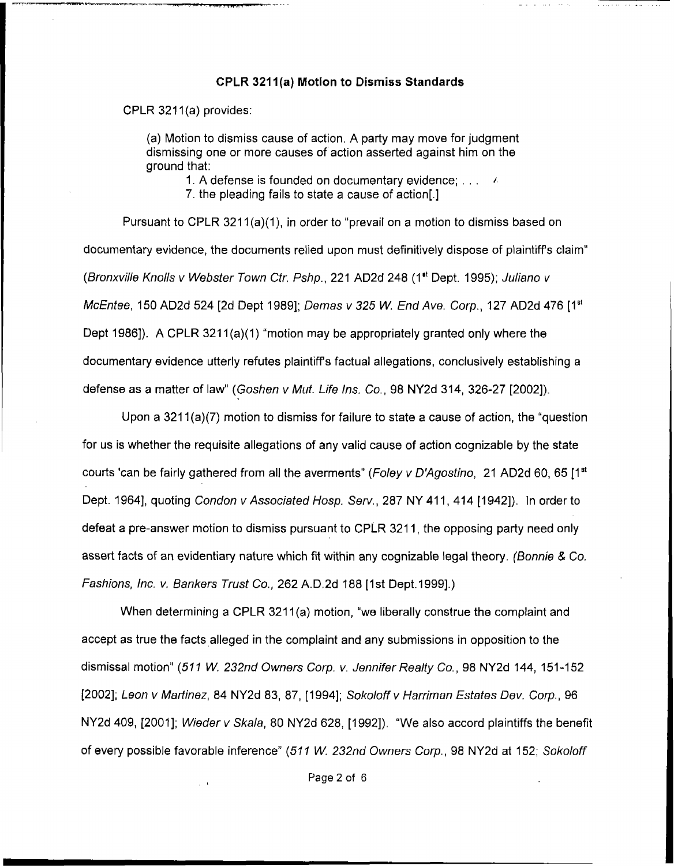## **CPLR 321 l(a) Motion to Dismiss Standards**

CPLR 3211(a) provides:

(a) Motion to dismiss cause of action. A party may move for judgment dismissing one or more causes of action asserted against him on the ground that:

1. A defense is founded on documentary evidence;  $\ldots$ ,  $\ell$ 

7. the pleading fails to state a cause of action[.]

Pursuant to CPLR 3211(a)(1), in order to "prevail on a motion to dismiss based on documentary evidence, the documents relied upon must definitively dispose of plaintiff's claim" *(Bronxville Knolls v Webster Town Ctr. Pshp.,* 221 AD2d 248 (I" Dept. 1995); *Juliano v McEntee, 150 AD2d 524 [2d Dept 1989]; Demas v 325 W. End Ave. Corp., 127 AD2d 476 [1<sup>st</sup>]* Dept 1986]). A CPLR 3211(a)(1) "motion may be appropriately granted only where the documentary evidence utterly refutes plaintiffs factual allegations, conclusively establishing a defense as a matter of law'' *(Goshen v Mut. Life Ins. Co.,* 98 NY2d 314, 326-27 [2002])

Upon a 3211(a)(7) motion to dismiss for failure to state a cause of action, the "question for **us is** whether the requisite allegations of any valid cause of action cognizable by the state courts 'can be fairly gathered from all the averments'' *(Foley v D'Agostino,* 21 AD2d 60, 65 [Iat Dept. 1964], quoting *Condon v Associated Hosp. Serv.*, 287 NY 411, 414 [1942]). In order to defeat a pre-answer motion to dismiss pursuant to CPLR 321 1, the opposing party need only assert facts of an evidentiary nature which fit within any cognizable legal theory. *(Bonnie* & Co. *Fashions, Inc. v. Bankers Trust Co., 262 A.D.2d 188 [1st Dept.1999].*)

When determining a CPLR 3211(a) motion, "we liberally construe the complaint and accept **as** true the facts alleged in the complaint and any submissions in opposition to the dismissal motion" (511 W. 232nd Owners Corp. v. Jennifer Realty Co., 98 NY2d 144, 151-152 [2002]; *Leon v Martinez,* 84 NY2d 83, 87, [1994]; *Sokoloff v Harriman Estates Dev. Corp.,* 96 NY2d 409, [2001]; *Wieder v Skala,* 80 NY2d 628, [1992]). "We also accord plaintiffs the benefit of every possible favorable inference" *(51 1 W. 232nd Owners Corp.* , 98 NY2d at 152; *Sokoloff*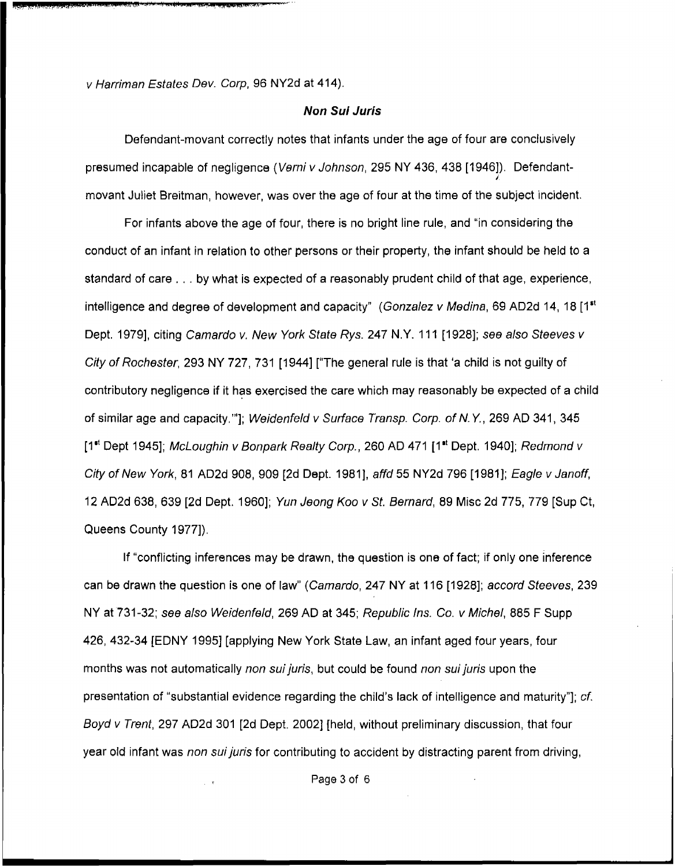*v Harriman Estates Dev. Corp,* 96 NY2d at 414).

## *Non Sul Juris*

Defendant-movant correctly notes that infants under the age of four are conclusively presumed incapable of negligence *(Vsrni v Johnson,* 295 NY 436, 438 [1946]). Defendantmovant Juliet Breitman, however, was over the age of four at the time of the subject incident. *I* 

For infants above the age of four, there is no bright line rule, and "in considering the conduct of an infant in relation to other persons or their property, the infant should be held to a standard of care . . . by what is expected of a reasonably prudent child of that age, experience, intelligence and degree of development and capacity" *(Gonzalez v Medina,* 69 AD2d 14, 18 **[Itt**  Dept. 1979], citing *Camardo v. New York State Rys.* 247 N.Y. 111 [1928]; see also Steeves v *City of Rochester,* 293 NY 727, 731 [I9441 ["The general rule is that 'a child is not guilty of contributory negligence if it has exercised the care which may reasonably be expected of a child of similar age and capacity."']; *Weidenfeld v Surface Transp. Corp. of N.Y.*, 269 AD 341, 345 [1<sup>at</sup> Dept 1945]; *McLoughin v Bonpark Realty Corp.*, 260 AD 471 [1<sup>at</sup> Dept. 1940]; *Redmond v City of New York, 81 AD2d 908, 909 [2d Dept. 1981], affd 55 NY2d 796 [1981]; Eagle v Janoff,* 12 AD2d 638,639 [Zd Dept. 19601; *Yun Jeong Koo v St. Bernard,* 89 Misc 2d 775, 779 [Sup Ct, Queens County 1977]).

If "conflicting inferences may be drawn, the question is one of fact; if only one inference can **be** drawn the question is one of law" *(Carnardo,* 247 NY at 116 [1928]; *accord Steeves,* 239 NY at 731-32; see *also Weidenfeld,* 269 AD at 345; *Republic Ins. Co. v Michel, 885* F Supp 426, 432-34 [EDNY 19951 [applying New York State Law, an infant aged four years, four months was not automatically *non sui juris*, but could be found *non sui juris* upon the presentation of "substantial evidence regarding the child's lack of intelligence and maturity"]; *cf. Boyd v Trent,* 297 AD2d 301 [2d Dept. 20021 [held, without preliminary discussion, that four year old infant was *non suijuris* for contributing to accident by distracting parent from driving,

Page3of 6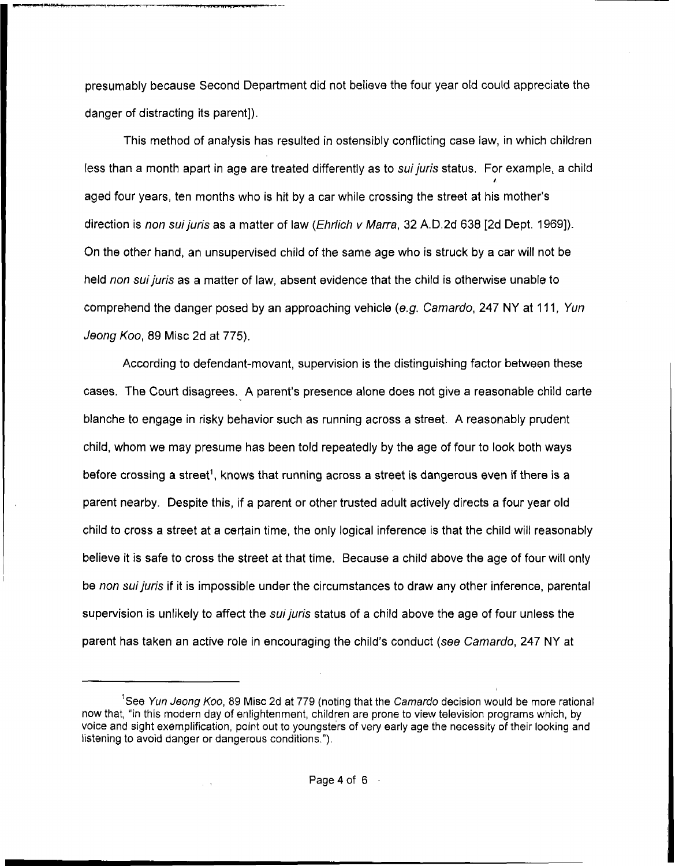presumably because Second Department did not believe the four year old could appreciate the danger of distracting its parent]).

I ',--- , , , ."-*e--* 

This method of analysis has resulted in ostensibly conflicting case law, in which children less than a month apart in age are treated differently as to *suijuris* status. For example, a child aged four years, ten months who is hit by a car while crossing the street at his mother's *I*  direction is *non sui juris* **as** a matter of law *(Ehrlich v Marra,* 32 A.D.2d 638 [2d Dept. 19691). On the other hand, an unsupervised child of the same age who is struck by a car will not be held *non suijuris* as a matter of law, absent evidence that the child is otherwise unable to comprehend the danger posed by an approaching vehicle (e.g. Camardo, 247 NY at 111, *Yun Jeong KOO,* 89 Misc **2d** at 775).

According to defendant-movant, supervision is the distinguishing factor between these **cases.** The Court disagrees. **A** parent's presence alone does not give a reasonable child carte blanche to engage in risky behavior such as running across a street. **A** reasonably prudent child, whom we may presume has been told repeatedly by the age of four to look both ways before crossing a street', knows that running across a street is dangerous even if there is a parent nearby. Despite this, if a parent or other trusted adult actively directs a four year old child to cross a street at a certain time, the only logical inference is that the child will reasonably believe it is safe to cross the street at that time. Because a child above the age *of* four will only be *non suijuris* if it is impossible under the circumstances *to* draw any other inference, parental supervision is unlikely to affect the *sui juris* status of a child above the age of four unless the parent has taken an active role in encouraging the child's conduct (see *Carnardo,* 247 NY at

<sup>&</sup>lt;sup>1</sup>See *Yun Jeong Koo*, 89 Misc 2d at 779 (noting that the *Camardo* decision would be more rational now that, "in thls modern day of enlightenment, children are prone to view television programs which, by voice and sight exemplification, polnt out to youngsters of very early age the necessity of their looking and listening to avoid danger or dangerous conditions."),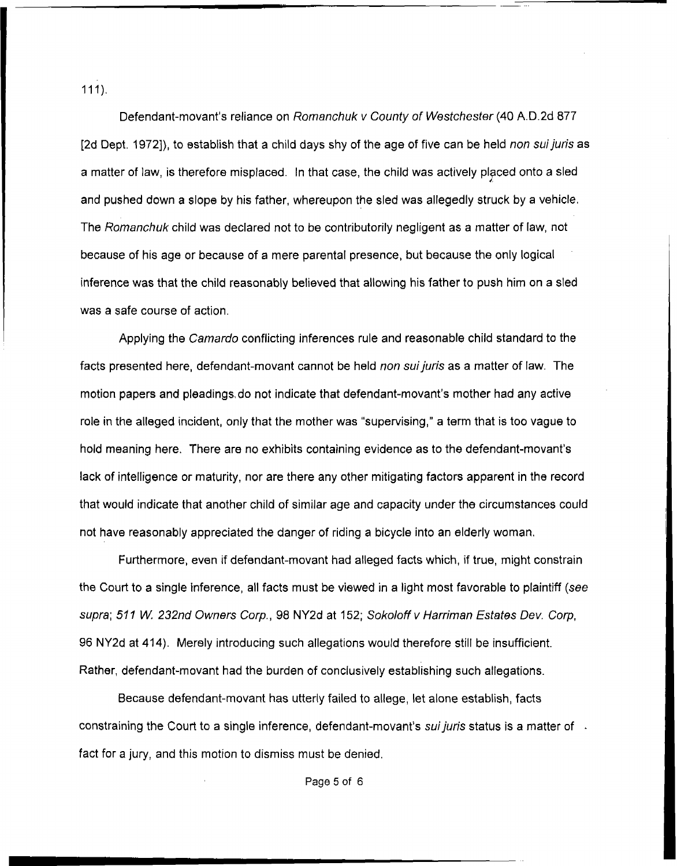$111$ ).

Defendant-movant's reliance on *Rornanchuk v County of Westchester* **(40** A.D.2d *877*  [2d Dept. 1972]), to establish that a child days shy of the age of five can be held *non suijuris* as a matter of law, is therefore misplaced. In that case, the child was actively placed onto a sled and pushed down a slope by his father, whereupon the sled was allegedly struck by a vehicle. The *Rornanchuk* child was declared not to be contributorily negligent as a matter of law, not because of his age or because of a mere parental presence, but because the only logical inference was that the child reasonably believed that allowing his father to push him on a sled was a safe course of action.

...

Applying the *Camardo* conflicting inferences rule and reasonable child standard to the facts presented here, defendant-movant cannot be held *non suijuris* **as** a matter of law. The motion papers and pleadings, do not indicate that defendant-movant's mother had any active role in the alleged incident, only that the mother was "supervising," **a** term that is too vague to hold meaning here. There are no exhibits containing evidence **as** to the defendant-movant's lack of intelligence or maturity, nor are there any other mitigating factors apparent in the record that would indicate that another child of similar age and capacity under the circumstances could not have reasonably appreciated the danger of riding a bicycle into an elderly woman.

Furthermore, even if defendant-movant had alleged facts which, if true, might constrain the Court to a single inference, all facts must be viewed in a light most favorable to plaintiff (see *supra; 511 W. 232nd Owners Corp.,* 98 NY2d at 152; *Sokoloff v Harriman Estates Dev. Corp, 96* NY2d at **414).** Merely introducing such allegations would therefore still be insufficient. Rather, defendant-movant had the burden of conclusively establishing such allegations.

Because defendant-movant has utterly failed to allege, let alone establish, facts constraining the Court to a single inference, defendant-movant's *suijuris* status is a matter of . fact for a jury, and this motion to dismiss must be denied.